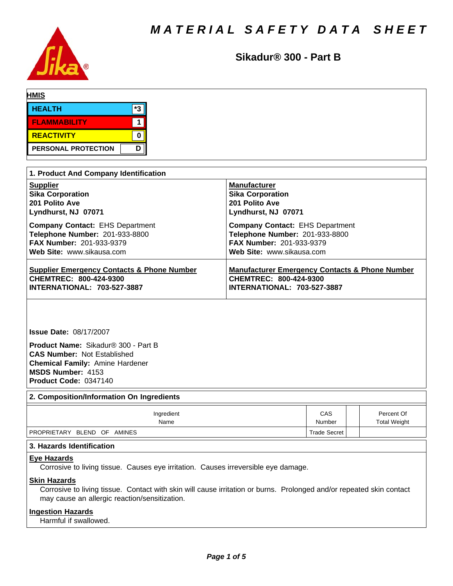

**Sikadur® 300 - Part B**

| <b>HMIS</b>         |    |
|---------------------|----|
| <b>HEALTH</b>       | *3 |
| <b>FLAMMABILITY</b> |    |
| REACTIVITY          |    |
| PERSONAL PROTECTION | D  |

| 1. Product And Company Identification                 |                                                           |  |  |  |
|-------------------------------------------------------|-----------------------------------------------------------|--|--|--|
| <b>Supplier</b>                                       | <b>Manufacturer</b>                                       |  |  |  |
| <b>Sika Corporation</b>                               | <b>Sika Corporation</b>                                   |  |  |  |
| 201 Polito Ave                                        | 201 Polito Ave                                            |  |  |  |
| Lyndhurst, NJ 07071                                   | Lyndhurst, NJ 07071                                       |  |  |  |
| <b>Company Contact: EHS Department</b>                | <b>Company Contact: EHS Department</b>                    |  |  |  |
| Telephone Number: 201-933-8800                        | Telephone Number: 201-933-8800                            |  |  |  |
| <b>FAX Number: 201-933-9379</b>                       | <b>FAX Number: 201-933-9379</b>                           |  |  |  |
| Web Site: www.sikausa.com                             | Web Site: www.sikausa.com                                 |  |  |  |
| <b>Supplier Emergency Contacts &amp; Phone Number</b> | <b>Manufacturer Emergency Contacts &amp; Phone Number</b> |  |  |  |
| CHEMTREC: 800-424-9300                                | CHEMTREC: 800-424-9300                                    |  |  |  |
| <b>INTERNATIONAL: 703-527-3887</b>                    | <b>INTERNATIONAL: 703-527-3887</b>                        |  |  |  |

**Issue Date:** 08/17/2007

**Product Name: Sikadur® 300 - Part B CAS Number:** Not Established **Chemical Family:** Amine Hardener **MSDS Number:** 4153 **Product Code:** 0347140

**2. Composition/Information On Ingredients**

| Ingredient                  | CAS                 | Percent Of          |  |  |  |
|-----------------------------|---------------------|---------------------|--|--|--|
| Name                        | Number              | <b>Total Weight</b> |  |  |  |
| PROPRIETARY BLEND OF AMINES | <b>Trade Secret</b> |                     |  |  |  |

# **3. Hazards Identification**

#### **Eye Hazards**

Corrosive to living tissue. Causes eye irritation. Causes irreversible eye damage.

# **Skin Hazards**

Corrosive to living tissue. Contact with skin will cause irritation or burns. Prolonged and/or repeated skin contact may cause an allergic reaction/sensitization.

# **Ingestion Hazards**

Harmful if swallowed.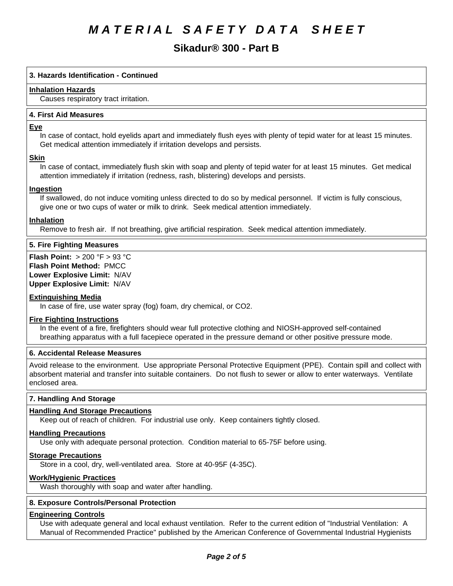# **Sikadur® 300 - Part B**

# **3. Hazards Identification - Continued**

#### **Inhalation Hazards**

Causes respiratory tract irritation.

#### **4.First AidMeasures**

#### **Eye**

In case of contact, hold eyelids apart and immediately flush eyes with plenty of tepid water for at least 15 minutes. Get medical attention immediately if irritation develops and persists.

# **Skin**

In case of contact, immediately flush skin with soap and plenty of tepid water for at least 15 minutes. Get medical attention immediately if irritation (redness, rash, blistering) develops and persists.

#### **Ingestion**

If swallowed, do not induce vomiting unless directed to do so by medical personnel. If victim is fully conscious, give one or two cups of water or milk to drink. Seek medical attention immediately.

#### **Inhalation**

Remove to fresh air. If not breathing, give artificial respiration. Seek medical attention immediately.

# **5. Fire Fighting Measures**

**Flash Point:** >200°F>93°C **Flash Point Method:** PMCC **Lower Explosive Limit:** N/AV **Upper Explosive Limit:** N/AV

# **Extinguishing Media**

In case of fire, use water spray (fog) foam, dry chemical, or CO2.

#### **Fire Fighting Instructions**

In the event of a fire, firefighters should wear full protective clothing and NIOSH-approved self-contained breathing apparatus with a full facepiece operated in the pressure demand or other positive pressure mode.

# **6. Accidental Release Measures**

Avoid release to the environment. Use appropriate Personal Protective Equipment (PPE). Contain spill and collect with absorbent material and transfer into suitable containers. Do not flush to sewer or allow to enter waterways. Ventilate enclosed area.

# **7. Handling And Storage**

# **Handling And Storage Precautions**

Keep out of reach of children. For industrial use only. Keep containers tightly closed.

#### **Handling Precautions**

Use only with adequate personal protection. Condition material to 65-75F before using.

#### **Storage Precautions**

Store in a cool, dry, well-ventilated area. Store at 40-95F (4-35C).

# **Work/Hygienic Practices**

Wash thoroughly with soap and water after handling.

# **8. Exposure Controls/Personal Protection**

# **Engineering Controls**

Use with adequate general and local exhaust ventilation. Refer to the current edition of "Industrial Ventilation: A Manual of Recommended Practice" published by the American Conference of Governmental Industrial Hygienists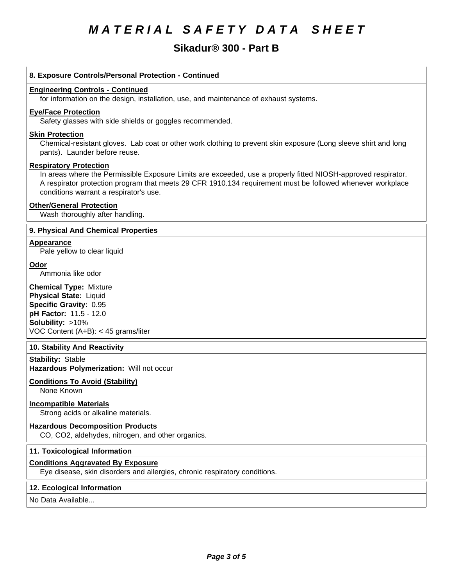# **Sikadur® 300 - Part B**

# **8. Exposure Controls/Personal Protection - Continued**

#### **Engineering Controls - Continued**

for information on the design, installation, use, and maintenance of exhaust systems.

# **Eye/Face Protection**

Safety glasses with side shields or goggles recommended.

#### **Skin Protection**

Chemical-resistant gloves. Lab coat or other work clothing to prevent skin exposure (Long sleeve shirt and long pants). Launder before reuse.

#### **Respiratory Protection**

In areas where the Permissible Exposure Limits are exceeded, use a properly fitted NIOSH-approved respirator. A respirator protection program that meets 29 CFR 1910.134 requirement must be followed whenever workplace conditions warrant a respirator's use.

#### **Other/General Protection**

Wash thoroughly after handling.

# **9. PhysicalAnd Chemical Properties**

# **Appearance**

Pale yellow to clear liquid

# **Odor**

Ammonia like odor

**Chemical Type:** Mixture **Physical State:** Liquid **Specific Gravity:** 0.95 **pH Factor:** 11.5-12.0 **Solubility: >10%** VOC Content  $(A+B): < 45$  grams/liter

# **10. Stability And Reactivity**

**Stability: Stable Hazardous Polymerization: Will not occur** 

# **Conditions To Avoid (Stability)**

None Known

# **Incompatible Materials**

Strong acids or alkaline materials.

# **Hazardous Decomposition Products**

CO, CO2, aldehydes, nitrogen, and other organics.

# **11. Toxicological Information**

# **Conditions Aggravated By Exposure**

Eye disease, skin disorders and allergies, chronic respiratory conditions.

#### **12. Ecological Information**

No Data Available...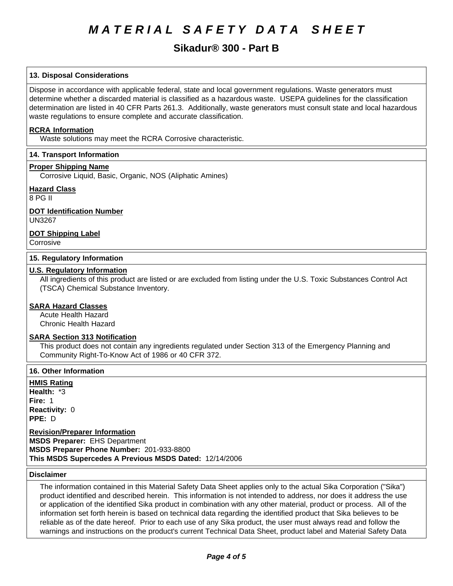# **Sikadur® 300 - Part B**

# **13. Disposal Considerations**

Dispose in accordance with applicable federal, state and local government regulations. Waste generators must determine whether a discarded material is classified as a hazardous waste. USEPA guidelines for the classification determination are listed in 40 CFR Parts 261.3. Additionally, waste generators must consult state and local hazardous waste regulations to ensure complete and accurate classification.

#### **RCRA Information**

Waste solutions may meet the RCRA Corrosive characteristic.

# **14. Transport Information**

#### **Proper Shipping Name**

Corrosive Liquid, Basic, Organic, NOS (Aliphatic Amines)

#### **Hazard Class**

8PGII

# **DOT Identification Number**

UN3267

# **DOT Shipping Label**

**Corrosive** 

### **15. Regulatory Information**

#### **U.S. Regulatory Information**

All ingredients of this product are listed or are excluded from listing under the U.S. Toxic Substances Control Act (TSCA) Chemical Substance Inventory.

## **SARA Hazard Classes**

Acute Health Hazard Chronic Health Hazard

#### **SARA Section 313 Notification**

This product does not contain any ingredients regulated under Section 313 of the Emergency Planning and Community Right-To-Know Act of 1986 or 40 CFR 372.

#### **16. Other Information**

**HMIS Rating Health: \*3 Fire: 1 Reactivity: 0 PPE: D** 

**Revision/Preparer Information MSDS Preparer:** EHS Department **MSDS Preparer Phone Number:** 201-933-8800 **This MSDS Supercedes A Previous MSDS Dated: 12/14/2006** 

#### **Disclaimer**

The information contained in this Material Safety Data Sheet applies only to the actual Sika Corporation ("Sika") product identified and described herein. This information is not intended to address, nor does it address the use or application of the identified Sika product in combination with any other material, product or process. All of the information set forth herein is based on technical data regarding the identified product that Sika believes to be reliable as of the date hereof. Prior to each use of any Sika product, the user must always read and follow the warnings and instructions on the product's current Technical Data Sheet, product label and Material Safety Data